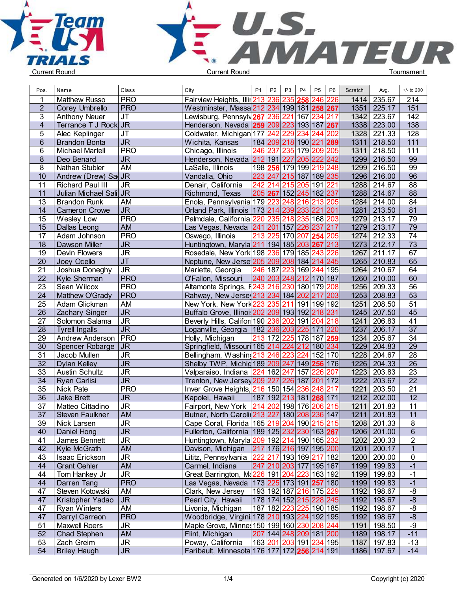



| Pos.            | Name                    | Class                             | City                                                      | P <sub>1</sub> | P <sub>2</sub>      | P <sub>3</sub> | P <sub>4</sub> | P <sub>5</sub>          | P <sub>6</sub> | Scratch | Avg.                  | $+/-$ to 200     |  |
|-----------------|-------------------------|-----------------------------------|-----------------------------------------------------------|----------------|---------------------|----------------|----------------|-------------------------|----------------|---------|-----------------------|------------------|--|
|                 | <b>Matthew Russo</b>    | <b>PRO</b>                        | Fairview Heights, Illin 213 236 235 258 246 226           |                |                     |                |                |                         |                | 1414    | 235.67                | 214              |  |
| $\overline{2}$  | Corey Umbrello          | <b>PRO</b>                        | Westminster, Massa 212 234 199 181 258 267                |                |                     |                |                |                         |                | 1351    | 225.17                | 151              |  |
| 3               | <b>Anthony Neuer</b>    | <b>JT</b>                         |                                                           |                |                     |                |                |                         |                |         | 1342 223.67           | 142              |  |
| $\overline{4}$  | Terrance T J Rock JR    |                                   | Henderson, Nevada 259 209 223 193 187 267                 |                |                     |                |                |                         |                |         | 1338 223.00           | $\overline{138}$ |  |
| 5               | Alec Keplinger          | <b>JT</b>                         | Coldwater, Michigan 177 242 229 234                       |                |                     |                |                | 244 202                 |                | 1328    | 221.33                | 128              |  |
| $6\phantom{1}$  | <b>Brandon Bonta</b>    | $\overline{\mathsf{J}\mathsf{R}}$ | Wichita, Kansas                                           |                |                     |                |                | 184 209 218 190 221 289 |                | 1311    | 218.50                | $\overline{111}$ |  |
| 6               | <b>Michael Martell</b>  | <b>PRO</b>                        | Chicago, Illinois                                         |                |                     |                |                | 246 237 235 179 209 205 |                | 1311    | 218.50                | $\overline{111}$ |  |
| 8               | Deo Benard              | J <sub>R</sub>                    | Henderson, Nevada                                         |                | 212 191 227 205 222 |                |                |                         | 242            |         | 1299 216.50           | 99               |  |
| 8               | Nathan Stubler          | <b>AM</b>                         | LaSalle, Illinois                                         |                |                     |                |                | 198 256 179 199 219 248 |                | 1299    | 216.50                | 99               |  |
| 10              | Andrew (Drew) Sa JR     |                                   | Vandalia, Ohio                                            |                |                     |                |                | 223 247 215 187 189 235 |                |         | 1296 216.00           | 96               |  |
| 11              | <b>Richard Paul III</b> | <b>JR</b>                         | Denair, California                                        |                |                     |                |                | 242 214 215 205 191     | 221            | 1288    | 214.67                | $\overline{88}$  |  |
| 11              | Julian Michael Sali JR  |                                   | Richmond, Texas                                           |                |                     |                |                | 205 267 152 245 182 237 |                |         | 1288 214.67           | $\overline{88}$  |  |
| 13              | <b>Brandon Runk</b>     | AM                                | Enola, Pennsylvania 179 223                               |                |                     | 248 216        |                | 213                     | 205            |         | 1284 214.00           | $\overline{84}$  |  |
| 14              | <b>Cameron Crowe</b>    | $\overline{\mathsf{J}\mathsf{R}}$ | Orland Park, Illinois 173 214                             |                |                     |                |                | 239 233 221             | 201            | 1281    | 213.50                | 81               |  |
| 15              | Wesley Low              | <b>PRO</b>                        | Palmdale, California 220 235 218 235 168                  |                |                     |                |                |                         | 203            | 1279    | 213.17                | 79               |  |
| 15              | Dallas Leong            | <b>AM</b>                         | Las Vegas, Nevada                                         |                |                     |                |                | 241 201 157 226 237 217 |                |         | 1279 213.17           | 79               |  |
| 17              | Adam Johnson            | <b>PRO</b>                        | Oswego, Illinois                                          |                |                     |                |                | 213 225 170 207 254 205 |                |         | 1274 212.33           | $\overline{74}$  |  |
| 18              | Dawson Miller           | J <sub>R</sub>                    | Huntingtown, Maryla 211 194 185 203 267 213               |                |                     |                |                |                         |                |         | 1273 212.17           | $\overline{73}$  |  |
| 19              | Devin Flowers           | $\overline{\mathsf{J}\mathsf{R}}$ | Rosedale, New York 198 236 179 185 243 226                |                |                     |                |                |                         |                | 1267    | 211.17                | 67               |  |
| 20              |                         | JT                                | Neptune, New Jerse 205 209 208 184 214 245                |                |                     |                |                |                         |                |         | 1265 210.83           | 65               |  |
| 21              | Joey Ocello             | $\overline{\mathsf{J}\mathsf{R}}$ |                                                           |                |                     |                |                | 246 187 223 169 244 195 |                |         | 1264 210.67           | 64               |  |
|                 | Joshua Doneghy          | <b>PRO</b>                        | Marietta, Georgia<br>O'Fallon, Missouri                   |                |                     |                |                | 240 203 248 212 170 187 |                |         | 1260 210.00           | 60               |  |
| 22              | Kyle Sherman            |                                   |                                                           |                |                     |                |                |                         |                |         |                       | 56               |  |
| 23              | Sean Wilcox             | <b>PRO</b>                        | Altamonte Springs, F243 216 230 180 179 208               |                |                     |                |                |                         |                |         | 1256 209.33           | 53               |  |
| 24              | Matthew O'Grady         | <b>PRO</b><br>AM                  | Rahway, New Jerse 213 234 184 202 217                     |                |                     |                |                |                         | 203            |         | 1253 208.83<br>208.50 | $\overline{51}$  |  |
| 25              | Adam Glickman           |                                   | New York, New York 223 235 211 191 199 192                |                |                     |                |                |                         |                | 1251    |                       |                  |  |
| 26              | <b>Zachary Singer</b>   | J <sub>R</sub>                    | Buffalo Grove, Illinoi: 202 209 193 192 218 231           |                |                     |                |                |                         |                |         | 1245 207.50           | 45               |  |
| $\overline{27}$ | Solomon Salama          | $\overline{\mathsf{J}\mathsf{R}}$ | Beverly Hills, Califor 190 236 202 191 204 218            |                |                     |                |                |                         |                | 1241    | 206.83                | $\overline{41}$  |  |
| $\overline{28}$ | <b>Tyrell Ingalls</b>   | $\overline{\mathsf{J}\mathsf{R}}$ | Loganville, Georgia   182 236 203 225 171 220             |                |                     |                |                |                         |                | 1237    | 206.17                | $\overline{37}$  |  |
| 29              | Andrew Anderson         | $ $ PRO                           | Holly, Michigan                                           |                |                     |                |                | 213 172 225 178 187 259 |                | 1234    | 205.67                | $\overline{34}$  |  |
| 30              | Spencer Robarge         | JR                                | Springfield, Missouri 165 214 224 212 180                 |                |                     |                |                |                         | 234            | 1229    | 204.83                | 29               |  |
| 31              | Jacob Mullen            | <b>JR</b>                         | Bellingham, Washing 213 246                               |                |                     | 2231224        |                | 152 170                 |                | 1228    | 204.67                | $\overline{28}$  |  |
| 32              | <b>Dylan Kelley</b>     | $\overline{\mathsf{J}\mathsf{R}}$ | Shelby TWP, Michid 189 209 247 149 256 176                |                |                     |                |                |                         |                |         | 1226 204.33           | $\overline{26}$  |  |
| 33              | <b>Austin Schultz</b>   | $\overline{\mathsf{J}\mathsf{R}}$ | Valparaiso, Indiana                                       |                |                     |                |                | 224 162 247 157 226 207 |                |         | 1223 203.83           | $\overline{23}$  |  |
| 34              | <b>Ryan Carlisi</b>     | J <sub>R</sub>                    | Trenton, New Jersey 209 227                               |                |                     |                |                | 226 187 201 172         |                | 1222    | 203.67                | 22               |  |
| 35              | Nick Pate               | <b>PRO</b>                        | Inver Grove Heights, 216 150 154 236                      |                |                     |                |                | 248 217                 |                | 1221    | 203.50                | $\overline{21}$  |  |
| 36              | <b>Jake Brett</b>       | J <sub>R</sub>                    | Kapolei, Hawaii                                           |                |                     |                |                | 187 192 213 181 268 171 |                |         | 1212 202.00           | 12               |  |
| 37              | Matteo Cittadino        | <b>JR</b>                         | Fairport, New York                                        | 214 202        |                     |                |                | 198 176 206 215         |                | 1211    | 201.83                | $\overline{11}$  |  |
| 37              | <b>Steven Faulkner</b>  | <b>AM</b>                         | Butner, North Caroli 213 227 180 208 236 147              |                |                     |                |                |                         |                | 1211    | 201.83                | $\overline{11}$  |  |
| 39              | Nick Larsen             | <b>JR</b>                         | Cape Coral, Florida   165   219   204   190   215   215   |                |                     |                |                |                         |                |         | 1208 201.33           | 8                |  |
| 40              | Daniel Hong             | <b>JR</b>                         | Fullerton, California   189   125   232   230   163   267 |                |                     |                |                |                         |                |         | 1206 201.00           | $6\phantom{1}6$  |  |
| 41              | James Bennett           | <b>JR</b>                         | Huntingtown, Maryla 209 192 214 190 165 232               |                |                     |                |                |                         |                |         | 1202 200.33           | $\sqrt{2}$       |  |
| 42              | Kyle McGrath            | <b>AM</b>                         | Davison, Michigan                                         |                |                     |                |                | 217 176 216 197 195 200 |                |         | 1201 200.17           | $\overline{1}$   |  |
| 43              | Isaac Erickson          | $\overline{\mathsf{J}\mathsf{R}}$ | Lititz, Pennsylvania 222 217 193 169 217 182              |                |                     |                |                |                         |                |         | 1200 200.00           | $\pmb{0}$        |  |
| 44              | <b>Grant Oehler</b>     | <b>AM</b>                         | Carmel, Indiana                                           |                |                     |                |                | 247 210 203 177 195 167 |                |         | 1199 199.83           | $-1$             |  |
| 44              | Tom Hankey Jr           | <b>JR</b>                         | Great Barrington, Ma226 191 204 223 163 192               |                |                     |                |                |                         |                |         | 1199 199.83           | $-1$             |  |
| 44              | Darren Tang             | <b>PRO</b>                        | Las Vegas, Nevada   173   225   173   191   257   180     |                |                     |                |                |                         |                |         | 1199 199.83           | $-1$             |  |
| 47              | Steven Kotowski         | AM                                | Clark, New Jersey                                         |                |                     |                |                | 193 192 187 216 175 229 |                |         | 1192 198.67           | -8               |  |
| 47              | Kristopher Yadao        | JR                                | Pearl City, Hawaii                                        |                |                     |                |                | 178 174 152 215 228 245 |                |         | 1192 198.67           | $-8$             |  |
| 47              | <b>Ryan Winters</b>     | AM                                | Livonia, Michigan                                         |                |                     |                |                | 187 182 223 225 190 185 |                |         | 1192 198.67           | -8               |  |
| 47              | Darryl Carreon          | <b>PRO</b>                        | Woodbridge, Virgini 178 210 193 224 192 195               |                |                     |                |                |                         |                |         | 1192 198.67           | $-8$             |  |
| 51              | <b>Maxwell Roers</b>    | <b>JR</b>                         | Maple Grove, Minnes 150 199 160 230 208 244               |                |                     |                |                |                         |                |         | 1191 198.50           | $-9$             |  |
| 52              | Chad Stephen            | AM                                | Flint, Michigan                                           |                |                     |                |                | 207 144 248 209 181 200 |                |         | 1189 198.17           | $-11$            |  |
| 53              | Zach Greim              | $\overline{\mathsf{J}\mathsf{R}}$ | Poway, California                                         |                |                     |                |                | 163 201 203 191 234 195 |                |         | 1187 197.83           | $-13$            |  |
| 54              | <b>Briley Haugh</b>     | $\overline{\mathsf{JR}}$          | Faribault, Minnesota 176 177 172 256 214 191              |                |                     |                |                |                         |                |         | 1186 197.67           | $-14$            |  |
|                 |                         |                                   |                                                           |                |                     |                |                |                         |                |         |                       |                  |  |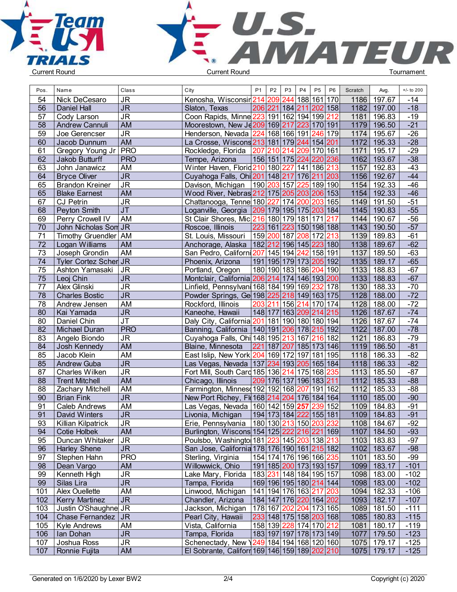



| Pos.            | Name                    | Class                             | City                                                    | P1 | P <sub>2</sub> | P <sub>3</sub> | <b>P4</b> | P <sub>5</sub>                         | P <sub>6</sub> | Scratch | Avg.        | $+/-$ to 200 |  |
|-----------------|-------------------------|-----------------------------------|---------------------------------------------------------|----|----------------|----------------|-----------|----------------------------------------|----------------|---------|-------------|--------------|--|
| 54              | Nick DeCesaro           | <b>JR</b>                         | Kenosha, Wisconsir 214 209 244 188 161 170              |    |                |                |           |                                        |                |         | 1186 197.67 | $-14$        |  |
| 56              | Daniel Hall             | $\overline{\mathsf{J}\mathsf{R}}$ | Slaton, Texas                                           |    |                |                |           | 206 221 184 211 202 158                |                | 1182    | 197.00      | $-18$        |  |
| 57              | Cody Larson             | $\overline{\mathsf{J}\mathsf{R}}$ | Coon Rapids, Minne 223 191 162 194 199 212              |    |                |                |           |                                        |                | 1181    | 196.83      | $-19$        |  |
| 58              | <b>Andrew Cannuli</b>   | <b>AM</b>                         | Moorestown, New Je 209 169 217 223 170 191              |    |                |                |           |                                        |                | 1179    | 196.50      | $-21$        |  |
| 59              | Joe Gerencser           | $\overline{\mathsf{J}\mathsf{R}}$ | Henderson, Nevada 224 168 166 191 246 179               |    |                |                |           |                                        |                | 1174    | 195.67      | $-26$        |  |
| 60              | Jacob Dunnum            | <b>AM</b>                         | La Crosse, Wiscons 213 181 179 244 154 201              |    |                |                |           |                                        |                | 1172    | 195.33      | $-28$        |  |
| 61              | Gregory Young Jr        | <b>PRO</b>                        | Rockledge, Florida   207   210   214   209   170   161  |    |                |                |           |                                        |                | 1171    | 195.17      | $-29$        |  |
| 62              | Jakob Butturff          | <b>PRO</b>                        | Tempe, Arizona                                          |    |                |                |           | 156 151 175 224 220 236                |                | 1162    | 193.67      | $-38$        |  |
| 63              | John Janawicz           | <b>AM</b>                         | Winter Haven, Florid 210 180 227 141 186 213            |    |                |                |           |                                        |                | 1157    | 192.83      | $-43$        |  |
| 64              | <b>Bryce Oliver</b>     | $\overline{\mathsf{J}\mathsf{R}}$ | Cuyahoga Falls, Ohi 201 148 217 176 211 203             |    |                |                |           |                                        |                | 1156    | 192.67      | $-44$        |  |
| 65              | <b>Brandon Kreiner</b>  | $\overline{\mathsf{J}\mathsf{R}}$ | Davison, Michigan                                       |    |                |                |           | 190 203 157 225 189 190                |                | 1154    | 192.33      | $-46$        |  |
| 65              | <b>Blake Earnest</b>    | <b>AM</b>                         | Wood River, Nebras 212 175 205 203 206 153              |    |                |                |           |                                        |                | 1154    | 192.33      | $-46$        |  |
| 67              | <b>CJ Petrin</b>        | <b>JR</b>                         | Chattanooga, Tenne 180 227 174 200 203 165              |    |                |                |           |                                        |                | 1149    | 191.50      | $-51$        |  |
| 68              | Peyton Smith            | $\overline{J}$                    | Loganville, Georgia   209 179 195 175 203 184           |    |                |                |           |                                        |                | 1145    | 190.83      | $-55$        |  |
| 69              | Perry Crowell IV        | AM                                | St Clair Shores, Mic 216 180 179 181 171                |    |                |                |           |                                        | 217            |         | 1144 190.67 | $-56$        |  |
| 70              | John Nicholas Son JR    |                                   | Roscoe, Illinois                                        |    |                |                |           | 223 161 223 150 198 188                |                |         | 1143 190.50 | $-57$        |  |
| 71              | Timothy Gruendler   AM  |                                   | St. Louis, Missouri                                     |    |                |                |           | 159 200 187 208 172 213                |                | 1139    | 189.83      | $-61$        |  |
| 72              | Logan Williams          | <b>AM</b>                         | Anchorage, Alaska   182   212   196   145   223   180   |    |                |                |           |                                        |                | 1138    | 189.67      | $-62$        |  |
| 73              | Joseph Grondin          | AM                                | San Pedro, Californi 207 145 194 242 158 191            |    |                |                |           |                                        |                | 1137    | 189.50      | $-63$        |  |
| 74              | Tyler Cortez Scher JR   |                                   | Phoenix, Arizona                                        |    |                |                |           | 191 195 179 173 205 192                |                |         | 1135 189.17 | $-65$        |  |
| 75              | Ashton Yamasaki         | <b>JR</b>                         | Portland, Oregon                                        |    |                |                |           | 180 190 183 186 204 190                |                | 1133    | 188.83      | $-67$        |  |
| 75              | Leoj Chin               | $\overline{\mathsf{J}\mathsf{R}}$ | Montclair, California 206 214 174 146 193 200           |    |                |                |           |                                        |                | 1133    | 188.83      | $-67$        |  |
| 77              | Alex Glinski            | $\overline{\mathsf{J}\mathsf{R}}$ | Linfield, Pennsylvani 168   184   199   169 232   178   |    |                |                |           |                                        |                | 1130    | 188.33      | $-70$        |  |
| 78              | <b>Charles Bostic</b>   | $\overline{\mathsf{J}\mathsf{R}}$ | Powder Springs, Ge 198 225 218 149 163 175              |    |                |                |           |                                        |                | 1128    | 188.00      | $-72$        |  |
| 78              | Andrew Jensen           | <b>AM</b>                         | Rockford, Illinois                                      |    |                |                |           | 203 211 156 214 170 174                |                | 1128    | 188.00      | $-72$        |  |
| 80              | Kai Yamada              | <b>JR</b>                         | Kaneohe, Hawaii                                         |    |                |                |           | 148 177 163 209 214 215                |                | 1126    | 187.67      | $-74$        |  |
| 80              | Daniel Chin             | <b>JT</b>                         | Daly City, California 201 181 190 180 180 194           |    |                |                |           |                                        |                | 1126    | 187.67      | $-74$        |  |
| $\overline{82}$ | <b>Michael Duran</b>    | <b>PRO</b>                        | Banning, California   140   191   206   178   215   192 |    |                |                |           |                                        |                | 1122    | 187.00      | $-78$        |  |
| 83              | Angelo Biondo           | $\overline{\mathsf{J}\mathsf{R}}$ | Cuyahoga Falls, Ohi 148 195 213 167 216 182             |    |                |                |           |                                        |                | 1121    | 186.83      | $-79$        |  |
| 84              | Josh Kennedy            | <b>AM</b>                         | Blaine, Minnesota                                       |    |                |                |           | 221 187 207 185 173 146                |                | 1119    | 186.50      | $-81$        |  |
| 85              | Jacob Klein             | <b>AM</b>                         | East Islip, New York 204 169 172 197 181 195            |    |                |                |           |                                        |                | 1118    | 186.33      | $-82$        |  |
| 85              | <b>Andrew Guba</b>      | $\overline{\mathsf{J}\mathsf{R}}$ | Las Vegas, Nevada   137   234   193   205   165   184   |    |                |                |           |                                        |                | 1118    | 186.33      | $-82$        |  |
| 87              | Charles Wilken          | <b>JR</b>                         | Fort Mill, South Card 185 136 214 175 168 235           |    |                |                |           |                                        |                | 1113    | 185.50      | $-87$        |  |
| 88              | <b>Trent Mitchell</b>   | <b>AM</b>                         | Chicago, Illinois                                       |    |                |                |           | 209 176 137 196 183 211                |                | 1112    | 185.33      | $-88$        |  |
| 88              | <b>Zachary Mitchell</b> | AM                                | Farmington, Minnes 192 192 168 207 191 162              |    |                |                |           |                                        |                | 1112    | 185.33      | $-88$        |  |
| 90              | <b>Brian Fink</b>       | <b>JR</b>                         | New Port Richey, Fl(168 214 204 176 184 164             |    |                |                |           |                                        |                | 1110    | 185.00      | $-90$        |  |
| 91              | <b>Caleb Andrews</b>    | <b>AM</b>                         | Las Vegas, Nevada   160   142   159   257   239   152   |    |                |                |           |                                        |                | 1109    | 184.83      | $-91$        |  |
| 91              | David Winters           | <b>JR</b>                         | Livonia, Michigan                                       |    |                |                |           | 194 173 184  <mark>222</mark>  155 181 |                | 1109    | 184.83      | $-91$        |  |
| 93              | Killian Kilpatrick      | $\overline{\mathsf{J}\mathsf{R}}$ | Erie, Pennsylvania   180   130 213   150 203   232      |    |                |                |           |                                        |                |         | 1108 184.67 | $-92$        |  |
| 94              | <b>Cotie Holbek</b>     | <b>AM</b>                         | Burlington, Wiscons 154 125 222 216 221 169             |    |                |                |           |                                        |                |         | 1107 184.50 | $-93$        |  |
| 95              | Duncan Whitaker         | J <sub>R</sub>                    | Poulsbo, Washingto 181 223 145 203 138 213              |    |                |                |           |                                        |                |         | 1103 183.83 | $-97$        |  |
| 96              | <b>Harley Shene</b>     | <b>JR</b>                         | San Jose, California 178 176 190 161 215 182            |    |                |                |           |                                        |                |         | 1102 183.67 | $-98$        |  |
| 97              | Stephen Hahn            | <b>PRO</b>                        | Sterling, Virginia                                      |    |                |                |           | 154 174 176 196 166 235                |                |         | 1101 183.50 | $-99$        |  |
| 98              | Dean Vargo              | AM                                | Willowwick, Ohio                                        |    |                |                |           | 191 185 200 173 193 157                |                |         | 1099 183.17 | $-101$       |  |
| 99              | Kenneth High            | <b>JR</b>                         | Lake Mary, Florida                                      |    |                |                |           | 183 231 148 184 195 157                |                |         | 1098 183.00 | $-102$       |  |
| 99              | Silas Lira              | $\overline{\mathsf{JR}}$          | Tampa, Florida                                          |    |                |                |           | 169 196 195 180 214 144                |                |         | 1098 183.00 | $-102$       |  |
| 101             | <b>Alex Ouellette</b>   | AM                                | Linwood, Michigan                                       |    |                |                |           | 141 194 176 163 217 203                |                |         | 1094 182.33 | $-106$       |  |
| 102             | <b>Kerry Martinez</b>   | <b>JR</b>                         | Chandler, Arizona                                       |    |                |                |           | 184 147 176 220 164 202                |                |         | 1093 182.17 | $-107$       |  |
| 103             | Justin O'Shaughne JR    |                                   |                                                         |    |                |                |           | 178 167 202 204 173 165                |                |         | 1089 181.50 | $-111$       |  |
|                 |                         |                                   | Jackson, Michigan                                       |    |                |                |           |                                        |                |         |             |              |  |
| 104             | Chase Fernandez JR      |                                   | Pearl City, Hawaii                                      |    |                |                |           | 233 148 175 158 203 168                |                |         | 1085 180.83 | $-115$       |  |
| 105             | <b>Kyle Andrews</b>     | AM                                | Vista, California                                       |    |                |                |           | 158 139 228 174 170 212                |                |         | 1081 180.17 | $-119$       |  |
| 106             | Ian Dohan               | <b>JR</b>                         | Tampa, Florida                                          |    |                |                |           | 183 197 197 178 173 149                |                |         | 1077 179.50 | $-123$       |  |
| 107             | Joshua Ross             | $\overline{\mathsf{J}\mathsf{R}}$ | Schenectady, New \249 184 194 168 120 160               |    |                |                |           |                                        |                |         | 1075 179.17 | $-125$       |  |
| 107             | Ronnie Fujita           | AM                                | El Sobrante, Califorr 169 146 159 189 202 210           |    |                |                |           |                                        |                |         | 1075 179.17 | $-125$       |  |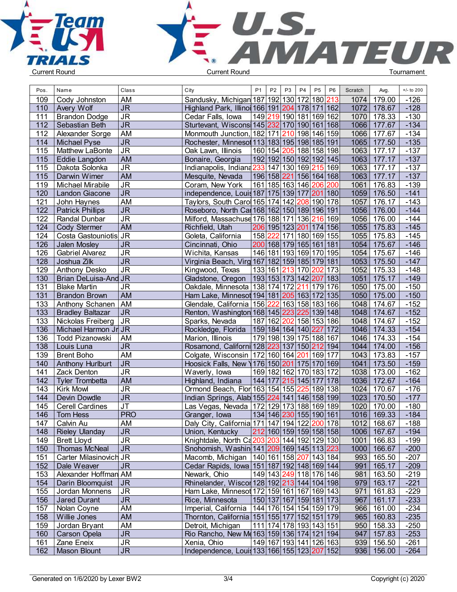



| Pos. | Name                    | Class                             | City                                                              | P <sub>1</sub> | P <sub>2</sub> | P <sub>3</sub>                         | P <sub>4</sub> | P <sub>5</sub> | P <sub>6</sub> | Scratch | Avg.         | $+/-$ to 200 |  |
|------|-------------------------|-----------------------------------|-------------------------------------------------------------------|----------------|----------------|----------------------------------------|----------------|----------------|----------------|---------|--------------|--------------|--|
| 109  | Cody Johnston           | AM                                | Sandusky, Michigan 187 192 130 172 180 213                        |                |                |                                        |                |                |                | 1074    | 179.00       | $-126$       |  |
| 110  | <b>Avery Wolf</b>       | <b>JR</b>                         | Highland Park, Illinoi 166 191 204 178 171 162                    |                |                |                                        |                |                |                | 1072    | 178.67       | $-128$       |  |
| 111  | <b>Brandon Dodge</b>    | $\overline{\mathsf{J}\mathsf{R}}$ | Cedar Falls, Iowa                                                 |                |                | 149 219 190 181 169 162                |                |                |                | 1070    | 178.33       | $-130$       |  |
| 112  | Sebastian Beth          | $\overline{\mathsf{J}\mathsf{R}}$ | Sturtevant, Wiscons 145 232 170 190 161 168                       |                |                |                                        |                |                |                | 1066    | 177.67       | $-134$       |  |
| 112  | Alexander Sorge         | <b>AM</b>                         | Monmouth Junction, 182 171 210 198 146 159                        |                |                |                                        |                |                |                | 1066    | 177.67       | $-134$       |  |
| 114  | Michael Pyse            | $\overline{\mathsf{J}\mathsf{R}}$ | Rochester, Minnesot 113 183 195 198 185 191                       |                |                |                                        |                |                |                | 1065    | 177.50       | $-135$       |  |
| 115  | <b>Matthew LaBonte</b>  | <b>JR</b>                         | Oak Lawn, Illinois                                                |                |                | 160 154 205 188 158 198                |                |                |                | 1063    | 177.17       | $-137$       |  |
|      |                         |                                   |                                                                   |                |                |                                        |                |                |                |         |              |              |  |
| 115  | <b>Eddie Langdon</b>    | AM                                | Bonaire, Georgia<br>Indianapolis, Indiana 233 147 130 169 215 169 |                |                | 192 192 150 192 192 145                |                |                |                | 1063    | 177.17       | $-137$       |  |
| 115  | Dakota Solonka          | J <sub>R</sub>                    |                                                                   |                |                |                                        |                |                |                | 1063    | 177.17       | $-137$       |  |
| 115  | Darwin Wimer            | <b>AM</b>                         | Mesquite, Nevada                                                  |                |                | 196 158 221 156 164 168                |                |                |                | 1063    | 177.17       | $-137$       |  |
| 119  | Michael Mirabile        | <b>JR</b>                         | Coram, New York                                                   |                |                | 161 185 163 146 206                    |                |                | 200            | 1061    | 176.83       | $-139$       |  |
| 120  | Landon Giacone          | $\overline{\mathsf{J}\mathsf{R}}$ | independence, Louis 187   175   139   177   201   180             |                |                |                                        |                |                |                | 1059    | 176.50       | $-141$       |  |
| 121  | John Haynes             | <b>AM</b>                         | Taylors, South Caro 165 174 142 208 190 178                       |                |                |                                        |                |                |                | 1057    | 176.17       | $-143$       |  |
| 122  | <b>Patrick Phillips</b> | $\overline{\mathsf{JR}}$          | Roseboro, North Car 168 162 150 189 196 191                       |                |                |                                        |                |                |                | 1056    | 176.00       | $-144$       |  |
| 122  | Randal Dunbar           | $\overline{\mathsf{J}\mathsf{R}}$ | Milford, Massachuse 176 188 171 136 216 169                       |                |                |                                        |                |                |                | 1056    | 176.00       | $-144$       |  |
| 124  | Cody Stermer            | <b>AM</b>                         | Richfield, Utah                                                   |                |                | 206 195 123 201 174 156                |                |                |                | 1055    | 175.83       | $-145$       |  |
| 124  | Costa Gastouniotis JR   |                                   | Goleta, California                                                |                |                | 158 222 171 180 169 155                |                |                |                | 1055    | 175.83       | $-145$       |  |
| 126  | Jalen Mosley            | <b>JR</b>                         | Cincinnati, Ohio                                                  |                |                | 200 168 179 165 161 181                |                |                |                | 1054    | 175.67       | $-146$       |  |
| 126  | <b>Gabriel Alvarez</b>  | <b>JR</b>                         | Wichita, Kansas                                                   |                |                | 146 181 193 169 170 195                |                |                |                | 1054    | 175.67       | $-146$       |  |
| 128  | Joshua Zilk             | $\overline{\mathsf{J}\mathsf{R}}$ | Virginia Beach, Virg 167 182 159 185 179 181                      |                |                |                                        |                |                |                | 1053    | 175.50       | $-147$       |  |
| 129  | <b>Anthony Desko</b>    | <b>JR</b>                         | Kingwood, Texas                                                   |                |                | 133 161 213 170 202 173                |                |                |                | 1052    | 175.33       | $-148$       |  |
| 130  | Brian DeLuisa-And JR    |                                   | Gladstone, Oregon                                                 |                |                | 193 153 173 142  <mark>207</mark>  183 |                |                |                | 1051    | 175.17       | $-149$       |  |
| 131  | <b>Blake Martin</b>     | <b>JR</b>                         | Oakdale, Minnesota   138   174   172   211   179   176            |                |                |                                        |                |                |                | 1050    | 175.00       | $-150$       |  |
| 131  | <b>Brandon Brown</b>    | <b>AM</b>                         | Ham Lake, Minnesot 194 181 205 163 172 135                        |                |                |                                        |                |                |                | 1050    | 175.00       | $-150$       |  |
| 133  | Anthony Schanen         | <b>AM</b>                         | Glendale, California   156   222   163   158   183   166          |                |                |                                        |                |                |                | 1048    | 174.67       | $-152$       |  |
| 133  | <b>Bradley Baltazar</b> | <b>JR</b>                         | Renton, Washington 168 145 223 225 139 148                        |                |                |                                        |                |                |                | 1048    | 174.67       | $-152$       |  |
| 133  | Nickolas Freiberg       | $\overline{\mathsf{J}\mathsf{R}}$ | Sparks, Nevada                                                    |                |                | 187 162 202 158 153 186                |                |                |                | 1048    | 174.67       | $-152$       |  |
| 136  | Michael Harmon Jr JR    |                                   | Rockledge, Florida                                                |                |                | 159 184 164 140  <mark>227</mark>  172 |                |                |                | 1046    | 174.33       | $-154$       |  |
| 136  | Todd Pizanowski         | AM                                | Marion, Illinois                                                  |                |                | 179 198 139 175 188 167                |                |                |                | 1046    | 174.33       | $-154$       |  |
| 138  | Louis Luna              | <b>JR</b>                         | Rosamond, Californi 128 223 137 150 212 194                       |                |                |                                        |                |                |                | 1044    | 174.00       | $-156$       |  |
| 139  | <b>Brent Boho</b>       | <b>AM</b>                         | Colgate, Wisconsin   172   160   164   201   169   177            |                |                |                                        |                |                |                | 1043    | 173.83       | $-157$       |  |
| 140  | <b>Anthony Hurlburt</b> | $\overline{\mathsf{J}\mathsf{R}}$ | Hoosick Falls, New \176\150\201\175\170\169                       |                |                |                                        |                |                |                | 1041    | 173.50       | $-159$       |  |
| 141  | Zack Denton             | $\overline{\mathsf{J}\mathsf{R}}$ | Waverly, Iowa                                                     |                |                | 169 182 162 170 183 172                |                |                |                | 1038    | 173.00       | $-162$       |  |
| 142  | <b>Tyler Trombetta</b>  | <b>AM</b>                         | Highland, Indiana                                                 |                |                | 144 177 215 145 177                    |                |                | 178            | 1036    | 172.67       | $-164$       |  |
| 143  | <b>Kirk Mowl</b>        | $\overline{\mathsf{J}\mathsf{R}}$ | Ormond Beach, Flor 163 154 155 225 189 138                        |                |                |                                        |                |                |                | 1024    | 170.67       | $-176$       |  |
| 144  | Devin Dowdle            | J <sub>R</sub>                    | Indian Springs, Alab 155 224 141 146 158 199                      |                |                |                                        |                |                |                | 1023    | 170.50       | $-177$       |  |
| 145  | <b>Cerell Cardines</b>  | $\overline{\mathsf{J}\mathsf{T}}$ | Las Vegas, Nevada   172 129 173 188 169 189                       |                |                |                                        |                |                |                | 1020    | 170.00       | $-180$       |  |
| 146  | Tom Hess                | <b>PRO</b>                        | Granger, Iowa                                                     |                |                | 134 146 230 155 190 161                |                |                |                | 1016    | 169.33       | $-184$       |  |
| 147  | Calvin Au               | AM                                | Daly City, California 171 147 194 122 200 178                     |                |                |                                        |                |                |                |         | 1012 168.67  | $-188$       |  |
| 148  | Rieley Ulanday          | <b>JR</b>                         | Union, Kentucky                                                   |                |                | 212 160 159 159 158 158                |                |                |                |         | 1006 167.67  | $-194$       |  |
| 149  | <b>Brett Lloyd</b>      | <b>JR</b>                         | Knightdale, North Ca203 203 144 192 129 130                       |                |                |                                        |                |                |                |         | 1001 166.83  | $-199$       |  |
| 150  | Thomas McNeal           | J <sub>R</sub>                    | Snohomish, Washin 141 209 169 145 113 223                         |                |                |                                        |                |                |                |         | 1000 166.67  | $-200$       |  |
| 151  | Carter Milasinovich JR  |                                   | Macomb, Michigan   140   161   158   207   143   184              |                |                |                                        |                |                |                |         | 993 165.50   | $-207$       |  |
| 152  | Dale Weaver             | <b>JR</b>                         | Cedar Rapids, Iowa 151 187 192 148 169 144                        |                |                |                                        |                |                |                | 991     | 165.17       | $-209$       |  |
| 153  | Alexander Hoffman AM    |                                   | Newark, Ohio                                                      |                |                | 149 143 249 118 176 146                |                |                |                | 981     | 163.50       | $-219$       |  |
| 154  | Darin Bloomquist        | JR                                | Rhinelander, Wiscor 128 192 213 144 104 198                       |                |                |                                        |                |                |                |         | 979 163.17   | $-221$       |  |
| 155  | Jordan Monnens          | <b>JR</b>                         | Ham Lake, Minnesot 172 159 161 167 169 143                        |                |                |                                        |                |                |                |         | $971$ 161.83 | $-229$       |  |
| 156  | Jared Durant            | <b>JR</b>                         | Rice, Minnesota                                                   |                |                | 150 137 167 159 181 173                |                |                |                | 967     | 161.17       | $-233$       |  |
| 157  | Nolan Coyne             | AM                                | Imperial, California   144   176   154   154   159   179          |                |                |                                        |                |                |                | 966     | 161.00       | $-234$       |  |
| 158  | Willie Jones            | AM                                | Thornton, California 151 155 177 152 151 179                      |                |                |                                        |                |                |                | 965     | 160.83       | $-235$       |  |
| 159  | Jordan Bryant           | AM                                | Detroit, Michigan                                                 |                |                | 111 174 178 193 143 151                |                |                |                |         | 950 158.33   | $-250$       |  |
| 160  | <b>Carson Opela</b>     | <b>JR</b>                         | Rio Rancho, New M(163 159 136 174 121 194                         |                |                |                                        |                |                |                |         | 947 157.83   | $-253$       |  |
| 161  | Zane Eneix              | $\overline{\mathsf{JR}}$          | Xenia, Ohio                                                       |                |                | 149 167 193 141 126 163                |                |                |                |         | 939   156.50 | -261         |  |
| 162  | Mason Blount            | $\overline{\mathsf{JR}}$          | Independence, Louis 133 166 155 123 207 152                       |                |                |                                        |                |                |                |         | 936 156.00   | $-264$       |  |
|      |                         |                                   |                                                                   |                |                |                                        |                |                |                |         |              |              |  |